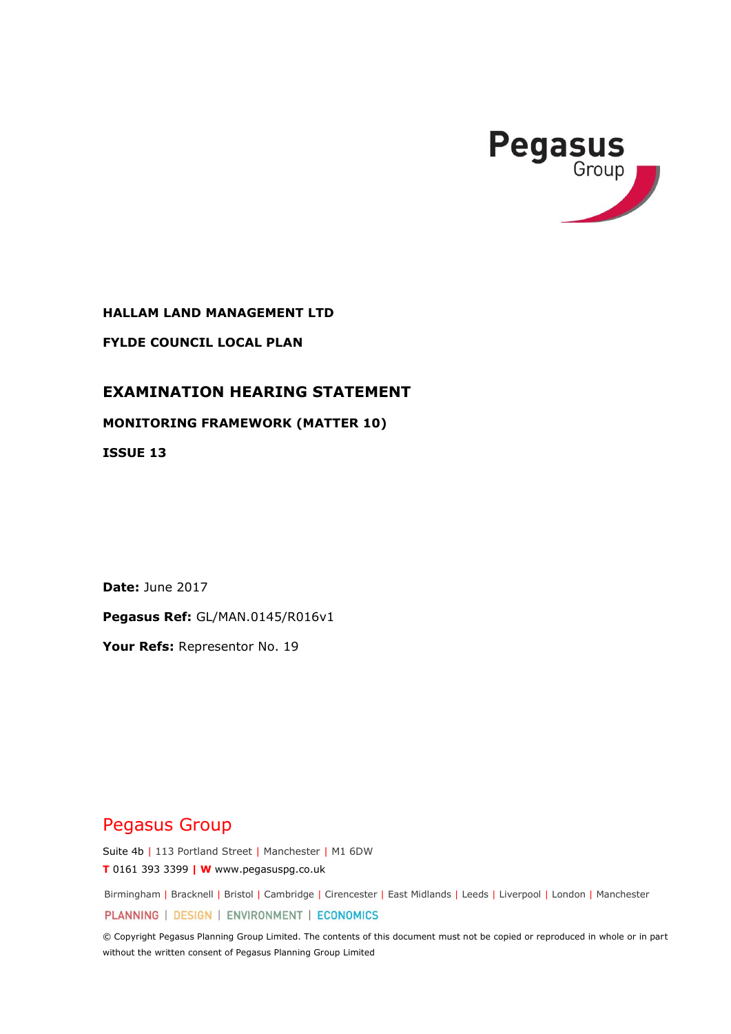

**HALLAM LAND MANAGEMENT LTD**

**FYLDE COUNCIL LOCAL PLAN**

# **EXAMINATION HEARING STATEMENT**

**MONITORING FRAMEWORK (MATTER 10)** 

**ISSUE 13**

**Date:** June 2017

**Pegasus Ref:** GL/MAN.0145/R016v1

**Your Refs:** Representor No. 19

# Pegasus Group

Suite 4b | 113 Portland Street | Manchester | M1 6DW **T** 0161 393 3399 **| W** www.pegasuspg.co.uk

Birmingham | Bracknell | Bristol | Cambridge | Cirencester | East Midlands | Leeds | Liverpool | London | Manchester

PLANNING | DESIGN | ENVIRONMENT | ECONOMICS

© Copyright Pegasus Planning Group Limited. The contents of this document must not be copied or reproduced in whole or in part without the written consent of Pegasus Planning Group Limited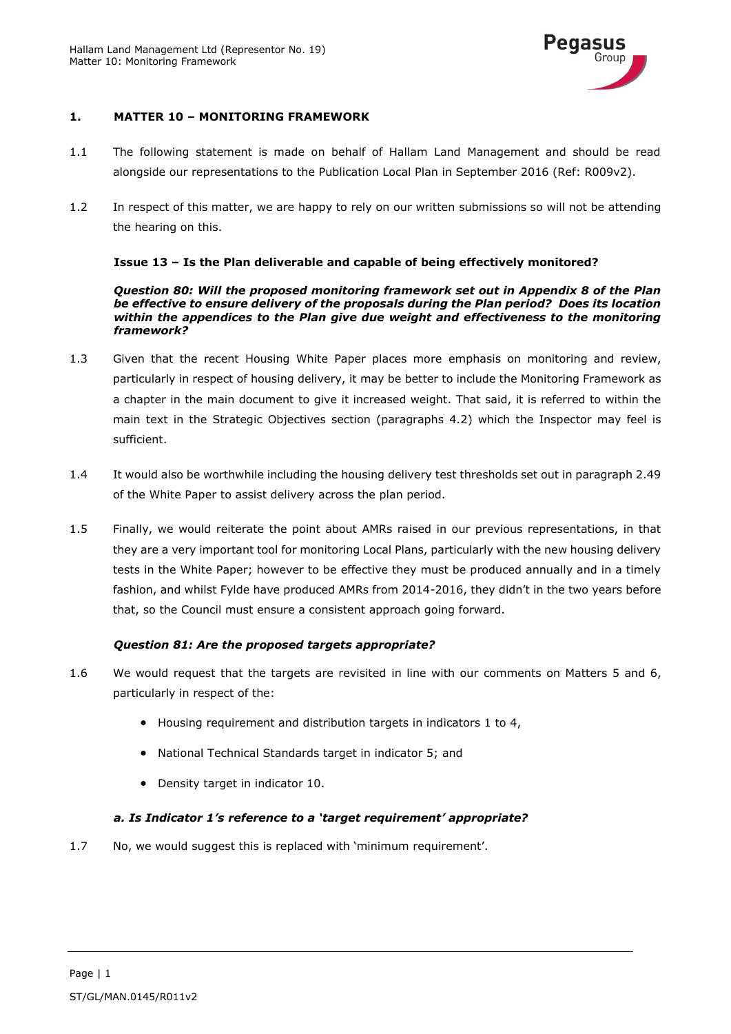

## **1. MATTER 10 – MONITORING FRAMEWORK**

- 1.1 The following statement is made on behalf of Hallam Land Management and should be read alongside our representations to the Publication Local Plan in September 2016 (Ref: R009v2).
- 1.2 In respect of this matter, we are happy to rely on our written submissions so will not be attending the hearing on this.

#### **Issue 13 – Is the Plan deliverable and capable of being effectively monitored?**

*Question 80: Will the proposed monitoring framework set out in Appendix 8 of the Plan be effective to ensure delivery of the proposals during the Plan period? Does its location within the appendices to the Plan give due weight and effectiveness to the monitoring framework?*

- 1.3 Given that the recent Housing White Paper places more emphasis on monitoring and review, particularly in respect of housing delivery, it may be better to include the Monitoring Framework as a chapter in the main document to give it increased weight. That said, it is referred to within the main text in the Strategic Objectives section (paragraphs 4.2) which the Inspector may feel is sufficient.
- 1.4 It would also be worthwhile including the housing delivery test thresholds set out in paragraph 2.49 of the White Paper to assist delivery across the plan period.
- 1.5 Finally, we would reiterate the point about AMRs raised in our previous representations, in that they are a very important tool for monitoring Local Plans, particularly with the new housing delivery tests in the White Paper; however to be effective they must be produced annually and in a timely fashion, and whilst Fylde have produced AMRs from 2014-2016, they didn't in the two years before that, so the Council must ensure a consistent approach going forward.

#### *Question 81: Are the proposed targets appropriate?*

- 1.6 We would request that the targets are revisited in line with our comments on Matters 5 and 6, particularly in respect of the:
	- Housing requirement and distribution targets in indicators 1 to 4,
	- National Technical Standards target in indicator 5; and
	- Density target in indicator 10.

#### *a. Is Indicator 1's reference to a 'target requirement' appropriate?*

1.7 No, we would suggest this is replaced with 'minimum requirement'.